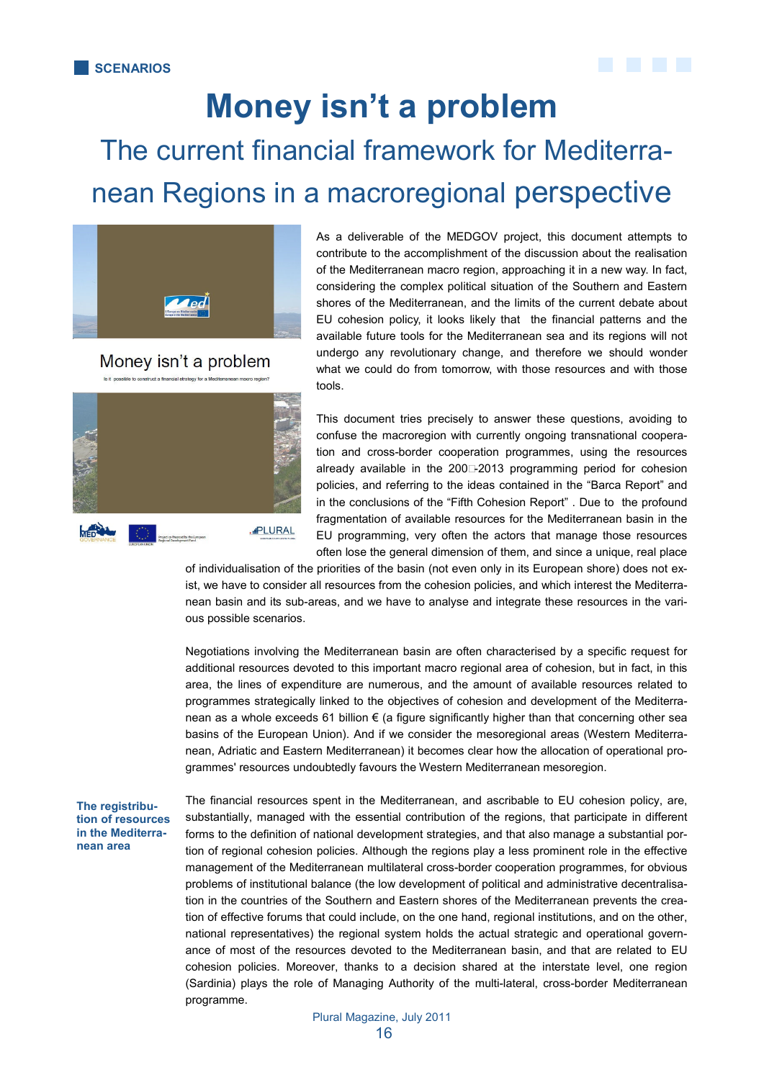

## **Money isn't a problem** The current financial framework for Mediterranean Regions in a macroregional perspective



Money isn't a problem



As a deliverable of the MEDGOV project, this document attempts to contribute to the accomplishment of the discussion about the realisation of the Mediterranean macro region, approaching it in a new way. In fact, considering the complex political situation of the Southern and Eastern shores of the Mediterranean, and the limits of the current debate about EU cohesion policy, it looks likely that the financial patterns and the available future tools for the Mediterranean sea and its regions will not undergo any revolutionary change, and therefore we should wonder what we could do from tomorrow, with those resources and with those tools.

This document tries precisely to answer these questions, avoiding to confuse the macroregion with currently ongoing transnational cooperation and cross-border cooperation programmes, using the resources already available in the  $200\square 2013$  programming period for cohesion policies, and referring to the ideas contained in the "Barca Report" and in the conclusions of the "Fifth Cohesion Report" . Due to the profound fragmentation of available resources for the Mediterranean basin in the EU programming, very often the actors that manage those resources often lose the general dimension of them, and since a unique, real place

of individualisation of the priorities of the basin (not even only in its European shore) does not exist, we have to consider all resources from the cohesion policies, and which interest the Mediterranean basin and its sub-areas, and we have to analyse and integrate these resources in the various possible scenarios.

Negotiations involving the Mediterranean basin are often characterised by a specific request for additional resources devoted to this important macro regional area of cohesion, but in fact, in this area, the lines of expenditure are numerous, and the amount of available resources related to programmes strategically linked to the objectives of cohesion and development of the Mediterranean as a whole exceeds 61 billion € (a figure significantly higher than that concerning other sea basins of the European Union). And if we consider the mesoregional areas (Western Mediterranean, Adriatic and Eastern Mediterranean) it becomes clear how the allocation of operational programmes' resources undoubtedly favours the Western Mediterranean mesoregion.

**The registribution of resources in the Mediterranean area** 

The financial resources spent in the Mediterranean, and ascribable to EU cohesion policy, are, substantially, managed with the essential contribution of the regions, that participate in different forms to the definition of national development strategies, and that also manage a substantial portion of regional cohesion policies. Although the regions play a less prominent role in the effective management of the Mediterranean multilateral cross-border cooperation programmes, for obvious problems of institutional balance (the low development of political and administrative decentralisation in the countries of the Southern and Eastern shores of the Mediterranean prevents the creation of effective forums that could include, on the one hand, regional institutions, and on the other, national representatives) the regional system holds the actual strategic and operational governance of most of the resources devoted to the Mediterranean basin, and that are related to EU cohesion policies. Moreover, thanks to a decision shared at the interstate level, one region (Sardinia) plays the role of Managing Authority of the multi-lateral, cross-border Mediterranean programme.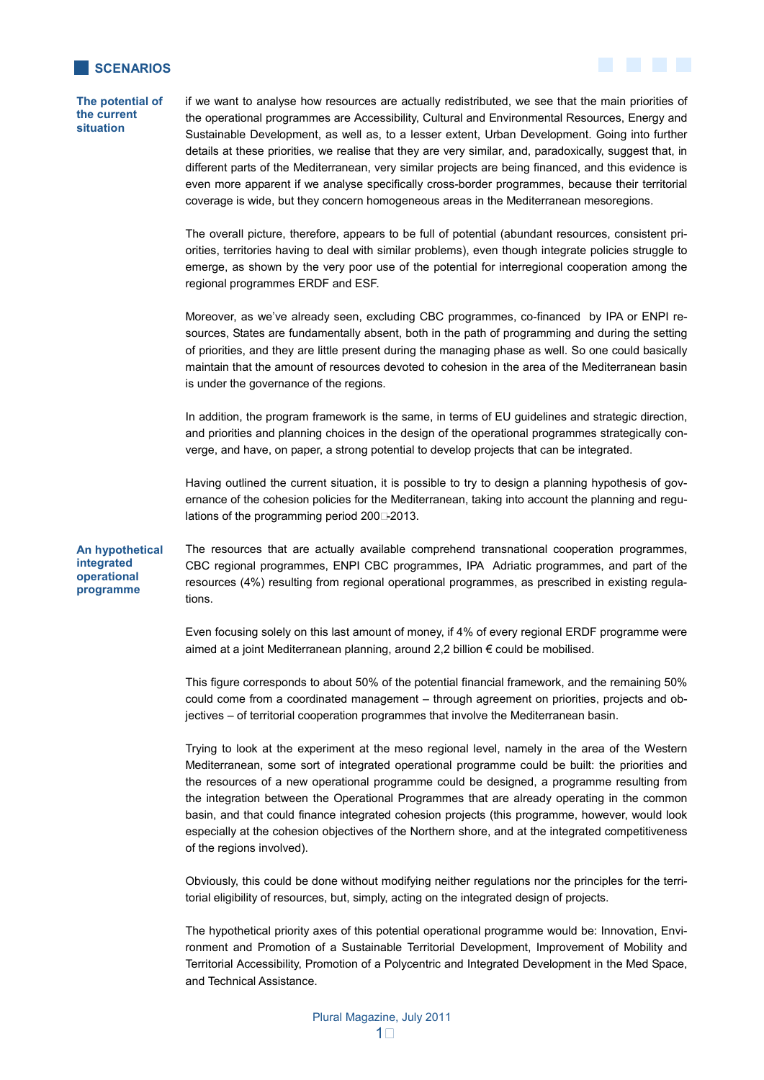



if we want to analyse how resources are actually redistributed, we see that the main priorities of the operational programmes are Accessibility, Cultural and Environmental Resources, Energy and Sustainable Development, as well as, to a lesser extent, Urban Development. Going into further details at these priorities, we realise that they are very similar, and, paradoxically, suggest that, in different parts of the Mediterranean, very similar projects are being financed, and this evidence is even more apparent if we analyse specifically cross-border programmes, because their territorial coverage is wide, but they concern homogeneous areas in the Mediterranean mesoregions.

The overall picture, therefore, appears to be full of potential (abundant resources, consistent priorities, territories having to deal with similar problems), even though integrate policies struggle to emerge, as shown by the very poor use of the potential for interregional cooperation among the regional programmes ERDF and ESF.

Moreover, as we've already seen, excluding CBC programmes, co-financed by IPA or ENPI resources, States are fundamentally absent, both in the path of programming and during the setting of priorities, and they are little present during the managing phase as well. So one could basically maintain that the amount of resources devoted to cohesion in the area of the Mediterranean basin is under the governance of the regions.

In addition, the program framework is the same, in terms of EU guidelines and strategic direction, and priorities and planning choices in the design of the operational programmes strategically converge, and have, on paper, a strong potential to develop projects that can be integrated.

Having outlined the current situation, it is possible to try to design a planning hypothesis of governance of the cohesion policies for the Mediterranean, taking into account the planning and regulations of the programming period 2007-2013.

The resources that are actually available comprehend transnational cooperation programmes, CBC regional programmes, ENPI CBC programmes, IPA Adriatic programmes, and part of the resources (4%) resulting from regional operational programmes, as prescribed in existing regulations. **An hypothetical integrated operational programme** 

> Even focusing solely on this last amount of money, if 4% of every regional ERDF programme were aimed at a joint Mediterranean planning, around 2,2 billion € could be mobilised.

> This figure corresponds to about 50% of the potential financial framework, and the remaining 50% could come from a coordinated management – through agreement on priorities, projects and objectives – of territorial cooperation programmes that involve the Mediterranean basin.

> Trying to look at the experiment at the meso regional level, namely in the area of the Western Mediterranean, some sort of integrated operational programme could be built: the priorities and the resources of a new operational programme could be designed, a programme resulting from the integration between the Operational Programmes that are already operating in the common basin, and that could finance integrated cohesion projects (this programme, however, would look especially at the cohesion objectives of the Northern shore, and at the integrated competitiveness of the regions involved).

> Obviously, this could be done without modifying neither regulations nor the principles for the territorial eligibility of resources, but, simply, acting on the integrated design of projects.

> The hypothetical priority axes of this potential operational programme would be: Innovation, Environment and Promotion of a Sustainable Territorial Development, Improvement of Mobility and Territorial Accessibility, Promotion of a Polycentric and Integrated Development in the Med Space, and Technical Assistance.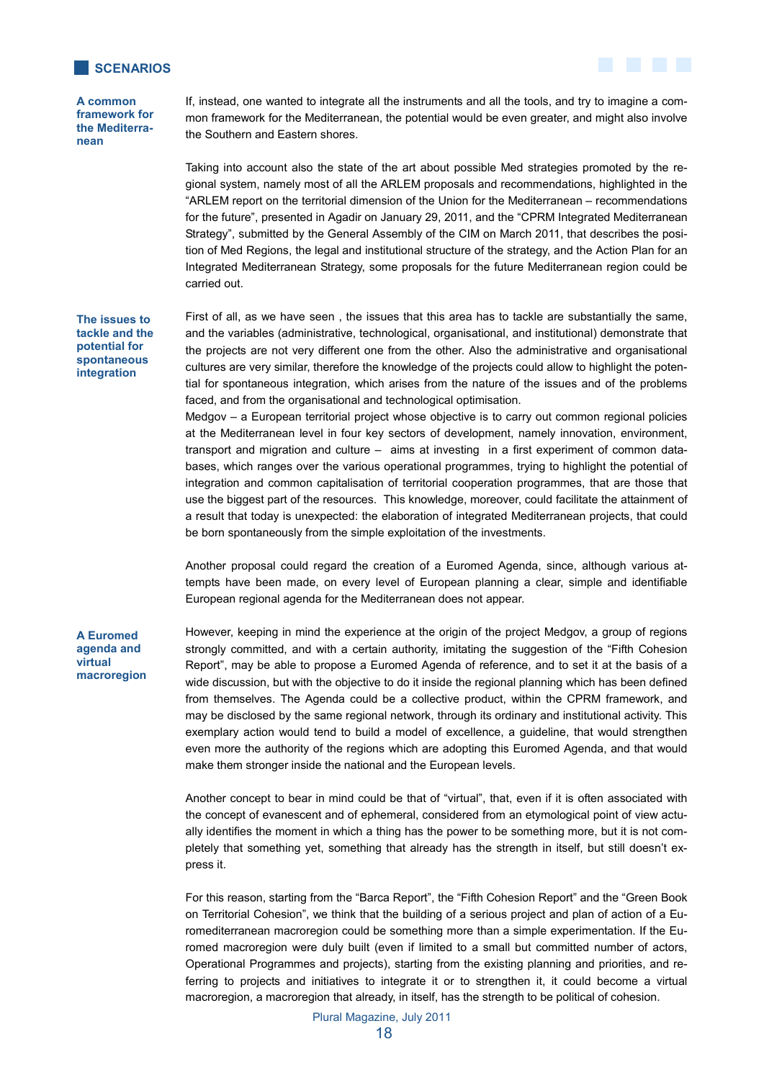

**A common framework for the Mediterranean** 

If, instead, one wanted to integrate all the instruments and all the tools, and try to imagine a common framework for the Mediterranean, the potential would be even greater, and might also involve the Southern and Eastern shores.

Taking into account also the state of the art about possible Med strategies promoted by the regional system, namely most of all the ARLEM proposals and recommendations, highlighted in the "ARLEM report on the territorial dimension of the Union for the Mediterranean – recommendations for the future", presented in Agadir on January 29, 2011, and the "CPRM Integrated Mediterranean Strategy", submitted by the General Assembly of the CIM on March 2011, that describes the position of Med Regions, the legal and institutional structure of the strategy, and the Action Plan for an Integrated Mediterranean Strategy, some proposals for the future Mediterranean region could be carried out.

**The issues to tackle and the potential for spontaneous integration** 

First of all, as we have seen , the issues that this area has to tackle are substantially the same, and the variables (administrative, technological, organisational, and institutional) demonstrate that the projects are not very different one from the other. Also the administrative and organisational cultures are very similar, therefore the knowledge of the projects could allow to highlight the potential for spontaneous integration, which arises from the nature of the issues and of the problems faced, and from the organisational and technological optimisation.

Medgov – a European territorial project whose objective is to carry out common regional policies at the Mediterranean level in four key sectors of development, namely innovation, environment, transport and migration and culture – aims at investing in a first experiment of common databases, which ranges over the various operational programmes, trying to highlight the potential of integration and common capitalisation of territorial cooperation programmes, that are those that use the biggest part of the resources. This knowledge, moreover, could facilitate the attainment of a result that today is unexpected: the elaboration of integrated Mediterranean projects, that could be born spontaneously from the simple exploitation of the investments.

Another proposal could regard the creation of a Euromed Agenda, since, although various attempts have been made, on every level of European planning a clear, simple and identifiable European regional agenda for the Mediterranean does not appear.

## **A Euromed agenda and virtual macroregion**

However, keeping in mind the experience at the origin of the project Medgov, a group of regions strongly committed, and with a certain authority, imitating the suggestion of the "Fifth Cohesion Report", may be able to propose a Euromed Agenda of reference, and to set it at the basis of a wide discussion, but with the objective to do it inside the regional planning which has been defined from themselves. The Agenda could be a collective product, within the CPRM framework, and may be disclosed by the same regional network, through its ordinary and institutional activity. This exemplary action would tend to build a model of excellence, a guideline, that would strengthen even more the authority of the regions which are adopting this Euromed Agenda, and that would make them stronger inside the national and the European levels.

Another concept to bear in mind could be that of "virtual", that, even if it is often associated with the concept of evanescent and of ephemeral, considered from an etymological point of view actually identifies the moment in which a thing has the power to be something more, but it is not completely that something yet, something that already has the strength in itself, but still doesn't express it.

For this reason, starting from the "Barca Report", the "Fifth Cohesion Report" and the "Green Book on Territorial Cohesion", we think that the building of a serious project and plan of action of a Euromediterranean macroregion could be something more than a simple experimentation. If the Euromed macroregion were duly built (even if limited to a small but committed number of actors, Operational Programmes and projects), starting from the existing planning and priorities, and referring to projects and initiatives to integrate it or to strengthen it, it could become a virtual macroregion, a macroregion that already, in itself, has the strength to be political of cohesion.

Plural Magazine, July 2011